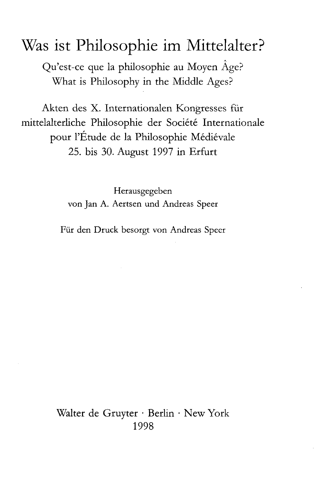# Was ist Philosophie im Mittelalter?

A Qu'est-ce que la philosophie au Moyen Age? What is Philosophy in the Middle Ages?

Akten des X. Internationalen Kongresses für mittelalterliche Philosophie der Societe Internationale pour l'Etude de la Philosophie Medievale 25. bis 30. August 1997 in Erfurt

> Herausgegeben von Jan A. Aertsen und Andreas Speer

Für den Druck besorgt von Andreas Speer

Walter de Gruyter • Berlin • New York 1998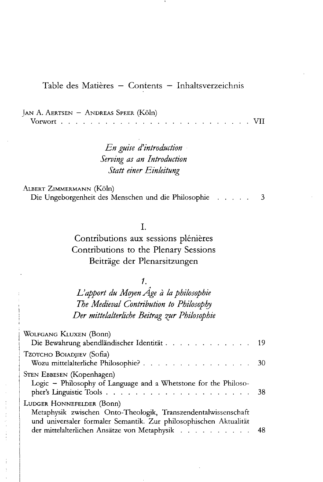Table des Matières - Contents - Inhaltsverzeichnis

| JAN A. AERTSEN – ANDREAS SPEER (Köln) |  |  |  |  |  |  |  |  |  |  |  |  |  |
|---------------------------------------|--|--|--|--|--|--|--|--|--|--|--|--|--|
|                                       |  |  |  |  |  |  |  |  |  |  |  |  |  |

*En guise d'introduction Serving as an Introduction Statt einer Einleitung*

ALBERT ZIMMERMANN (Köln)

Die Ungeborgenheit des Menschen und die Philosophie 3

I.

Contributions aux sessions plénières Contributions to the Plenary Sessions Beiträge der Plenarsitzungen

 $\mathcal{I}$ .

*L'apport du Moyen Age ä la philosophie The Medieval Contribution to Philosoph)* Der mittelalterliche Beitrag zur Philosophie

| WOLFGANG KLUXEN (BONN)<br>Die Bewahrung abendländischer Identität 19                                                 |  |
|----------------------------------------------------------------------------------------------------------------------|--|
| Tzotcho Boiadjiev (Sofia)<br>Wozu mittelalterliche Philosophie? 30                                                   |  |
| STEN EBBESEN (Kopenhagen)<br>Logic - Philosophy of Language and a Whetstone for the Philoso-                         |  |
| LUDGER HONNEFELDER (Bonn)<br>Metaphysik zwischen Onto-Theologik, Transzendentalwissenschaft                          |  |
| und universaler formaler Semantik. Zur philosophischen Aktualität<br>der mittelalterlichen Ansätze von Metaphysik 48 |  |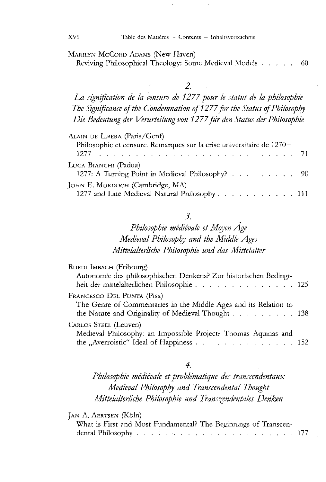MARILYN MCCORD ADAMS (New Haven)

Reviving Philosophical Theology: Some Medieval Models . . . . . 60

*2.*

La signification de la censure de 1277 pour le statut de la philosophie The Significance of the Condemnation of 1277 for the Status of Philosophy *Die Bedeutung der Verurteilung von 1277 für den Status der Philosophie*

| ALAIN DE LIBERA (Paris/Genf)                                                     |  |
|----------------------------------------------------------------------------------|--|
| Philosophie et censure. Remarques sur la crise universitaire de 1270-            |  |
| LUCA BIANCHI (Padua)<br>1277: A Turning Point in Medieval Philosophy? 90         |  |
| JOHN E. MURDOCH (Cambridge, MA)<br>1277 and Late Medieval Natural Philosophy 111 |  |

#### *3.*

# *Philosophie medievale et Moyen Age Medieval Philosophy and the Middle Ages Mittelalterliche Philosophie und das Mittelalter*

| RUEDI IMBACH (Fribourg)<br>Autonomie des philosophischen Denkens? Zur historischen Bedingt-<br>heit der mittelalterlichen Philosophie 125            |  |
|------------------------------------------------------------------------------------------------------------------------------------------------------|--|
| FRANCESCO DEL PUNTA (Pisa)<br>The Genre of Commentaries in the Middle Ages and its Relation to<br>the Nature and Originality of Medieval Thought 138 |  |
| CARLOS STEEL (Leuven)<br>Medieval Philosophy: an Impossible Project? Thomas Aquinas and<br>the "Averroistic" Ideal of Happiness 152                  |  |

#### *4.*

*Philosophie medievale et proble'matique des transcendentaux Medieval Philosophy and Transcendental Thought Mittelalterliche Philosophie und Transzendentales Denken*

JAN A. AERTSEN (Köln)

| What is First and Most Fundamental? The Beginnings of Transcen- |  |  |  |      |
|-----------------------------------------------------------------|--|--|--|------|
|                                                                 |  |  |  | -177 |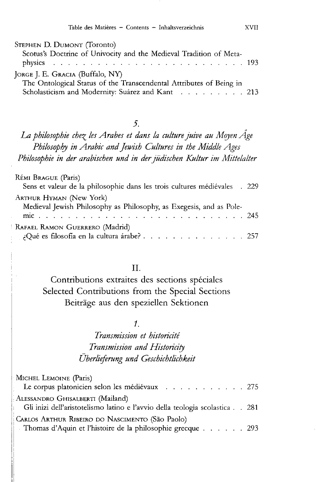| STEPHEN D. DUMONT (Toronto)                                         |  |
|---------------------------------------------------------------------|--|
| Scotus's Doctrine of Univocity and the Medieval Tradition of Meta-  |  |
|                                                                     |  |
| JORGE J. E. GRACIA (Buffalo, NY)                                    |  |
| The Ontological Status of the Transcendental Attributes of Being in |  |
| Scholasticism and Modernity: Suárez and Kant 213                    |  |

La philosophie chez les Arabes et dans la culture juive au Moyen Âge *Philosophy in Arabic and fewish Cultures in the Middle Ages Philosophie in der arabischen und in der jüdischen Kultur im Mittelalter*

| Rémi Brague (Paris)<br>Sens et valeur de la philosophie dans les trois cultures médiévales . 229 |  |
|--------------------------------------------------------------------------------------------------|--|
| ARTHUR HYMAN (New York)                                                                          |  |
| Medieval Jewish Philosophy as Philosophy, as Exegesis, and as Pole-                              |  |
| RAFAEL RAMON GUERRERO (Madrid)                                                                   |  |
| ¿Qué es filosofía en la cultura árabe? 257                                                       |  |

#### **II.**

Contributions extraites des sections spéciales Selected Contributions from the Special Sections Beiträge aus den speziellen Sektionen

### $\mathcal{I}$ .

# *Transmission et historicite Transmission and Historicity Überlieferung und Geschichtlichkeit*

| MICHEL LEMOINE (Paris)                                                                                          |  |
|-----------------------------------------------------------------------------------------------------------------|--|
| Le corpus platonicien selon les médiévaux 275                                                                   |  |
| ALESSANDRO GHISALBERTI (Mailand)<br>Gli inizi dell'aristotelismo latino e l'avvio della teologia scolastica 281 |  |
| CARLOS ARTHUR RIBEIRO DO NASCIMENTO (São Paolo)                                                                 |  |
| Thomas d'Aquin et l'histoire de la philosophie grecque 293                                                      |  |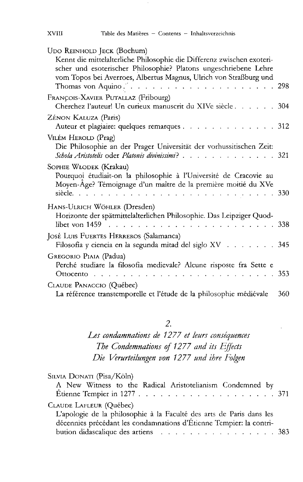| UDO REINHOLD JECK (Bochum)                                                                                                          |     |
|-------------------------------------------------------------------------------------------------------------------------------------|-----|
| Kennt die mittelalterliche Philosophie die Differenz zwischen exoteri-                                                              |     |
| scher und esoterischer Philosophie? Platons ungeschriebene Lehre                                                                    |     |
| vom Topos bei Averroes, Albertus Magnus, Ulrich von Straßburg und<br>Thomas von Aquino. $\ldots$ 298                                |     |
| FRANÇOIS-XAVIER PUTALLAZ (Fribourg)<br>Cherchez l'auteur! Un curieux manuscrit du XIVe siècle 304                                   |     |
| Zénon Kaluza (Paris)                                                                                                                |     |
| Auteur et plagiaire: quelques remarques 312                                                                                         |     |
| VILÉM HEROLD (Prag)                                                                                                                 |     |
| Die Philosophie an der Prager Universität der vorhussitischen Zeit:<br>Schola Aristotelis oder Platonis divinissimi? 321            |     |
| SOPHIE WŁODEK (Krakau)                                                                                                              |     |
| Pourquoi étudiait-on la philosophie à l'Université de Cracovie au<br>Moyen-Âge? Témoignage d'un maître de la première moitié du XVe |     |
| HANS-ULRICH WÖHLER (Dresden)                                                                                                        |     |
| Horizonte der spätmittelalterlichen Philosophie. Das Leipziger Quod-                                                                |     |
| JOSÉ LUIS FUERTES HERREROS (Salamanca)                                                                                              |     |
| Filosofía y ciencia en la segunda mitad del siglo XV 345                                                                            |     |
| GREGORIO PIAIA (Padua)<br>Perché studiare la filosofia medievale? Alcune risposte fra Sette e                                       |     |
| Ottocento $\ldots$                                                                                                                  |     |
| CLAUDE PANACCIO (Québec)                                                                                                            |     |
| La référence transtemporelle et l'étude de la philosophie médiévale                                                                 | 360 |

*Les condamnations de 1277 et leurs conse'quences The Condemnations of 1277 and its Effects Die Verurteilungen von 1277 und ihre Folgen*

| SILVIA DONATI (Pisa/Köln)                                            |  |
|----------------------------------------------------------------------|--|
| A New Witness to the Radical Aristotelianism Condemned by            |  |
|                                                                      |  |
| CLAUDE LAFLEUR (Québec)                                              |  |
| L'apologie de la philosophie à la Faculté des arts de Paris dans les |  |
| décennies précédant les condamnations d'Étienne Tempier: la contri-  |  |
| bution didascalique des artiens 383                                  |  |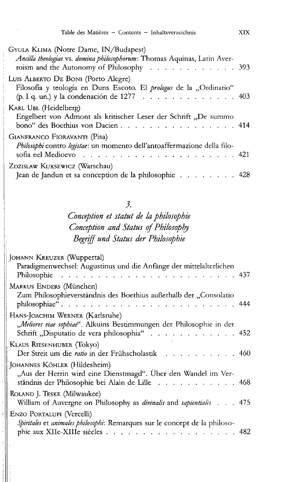| GYULA KLIMA (Notre Dame, IN/Budapest)<br>Ancilla theologiae vs. domina philosophorum: Thomas Aquinas, Latin Aver-<br>roism and the Autonomy of Philosophy 393 |  |
|---------------------------------------------------------------------------------------------------------------------------------------------------------------|--|
| LUIS ALBERTO DE BONI (Porto Alegre)<br>Filosofía y teología en Duns Escoto. El prologus de la "Ordinatio"<br>(p. I q. un.) y la condenación de 1277 403       |  |
| KARL UBL (Heidelberg)<br>Engelbert von Admont als kritischer Leser der Schrift "De summo<br>bono" des Boethius von Dacien414                                  |  |
| GIANFRANCO FIORAVANTI (Pisa)<br>Philosophi contro legistae: un momento dell'antoaffermazione della filo-                                                      |  |
| ZDZISLAW KUKSEWICZ (Warschau)<br>Jean de Jandun et sa conception de la philosophie 428                                                                        |  |

# *Conception et Statut de la philosophie Conception and Status of Philosophy Begriff und Status der Philosophie*

| JOHANN KREUZER (Wuppertal)                                                                                           |  |
|----------------------------------------------------------------------------------------------------------------------|--|
| Paradigmenwechsel: Augustinus und die Anfänge der mittelalterlichen                                                  |  |
| MARKUS ENDERS (München)                                                                                              |  |
| Zum Philosophieverständnis des Boethius außerhalb der "Consolatio<br>philosophiae"444                                |  |
| HANS-JOACHIM WERNER (Karlsruhe)                                                                                      |  |
| "Meliores viae sophiae". Alkuins Bestimmungen der Philosophie in der<br>Schrift "Disputatio de vera philosophia" 452 |  |
| <b>KLAUS RIESENHUBER (TOKYO)</b>                                                                                     |  |
| Der Streit um die ratio in der Frühscholastik 460                                                                    |  |
| JOHANNES KÖHLER (Hildesheim)                                                                                         |  |
| "Aus der Herrin wird eine Dienstmagd". Über den Wandel im Ver-                                                       |  |
| ständnis der Philosophie bei Alain de Lille 468                                                                      |  |
| ROLAND J. TESKE (Milwaukee)                                                                                          |  |
| William of Auvergne on Philosophy as <i>divinalis</i> and <i>sapientialis</i> 475                                    |  |
| ENZO PORTALUPI (Vercelli)                                                                                            |  |
| Spiritales et animales philosophi: Remarques sur le concept de la philoso-                                           |  |
| phie aux XIIe-XIIIe siècles 482                                                                                      |  |
|                                                                                                                      |  |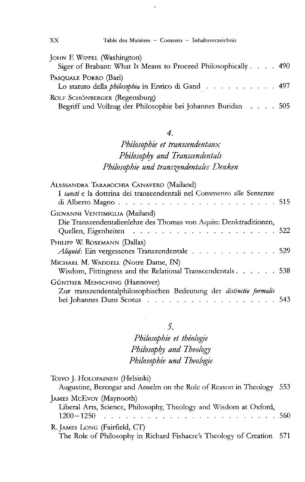| JOHN F. WIPPEL (Washington)<br>Siger of Brabant: What It Means to Proceed Philosophically 490 |  |  |  |
|-----------------------------------------------------------------------------------------------|--|--|--|
| Pasouale Porro (Bari)<br>Lo statuto della <i>philosophia</i> in Enrico di Gand 497            |  |  |  |
| ROLF SCHÖNBERGER (Regensburg)<br>Begriff und Vollzug der Philosophie bei Johannes Buridan 505 |  |  |  |

### $\overline{4}$ .

# Philosophie et transcendentaux Philosophy and Transcendentals Philosophie und transzendentales Denken

| Alessandra Tarabochia Canavero (Mailand)                                                                                            |  |
|-------------------------------------------------------------------------------------------------------------------------------------|--|
| I sancti e la dottrina dei transcendentali nel Commento alle Sentenze                                                               |  |
| GIOVANNI VENTIMIGLIA (Mailand)                                                                                                      |  |
| Die Transzendentalienlehre des Thomas von Aquin: Denktraditionen,                                                                   |  |
| Philipp W. Rosemann (Dallas)<br>Aliquid: Ein vergessenes Transzendentale 529                                                        |  |
| Michael M. Waddell (Notre Dame, IN)<br>Wisdom, Fittingness and the Relational Transcendentals. 538                                  |  |
| GÜNTHER MENSCHING (Hannover)<br>Zur transzendentalphilosophischen Bedeutung der distinctio formalis<br>bei Johannes Duns Scotus 543 |  |

### 5.

Philosophie et théologie Philosophy and Theology Philosophie und Theologie

| Toivo J. HOLOPAINEN (Helsinki)<br>Augustine, Berengar and Anselm on the Role of Reason in Theology 553 |  |
|--------------------------------------------------------------------------------------------------------|--|
| JAMES McEvoy (Maynooth)<br>Liberal Arts, Science, Philosophy, Theology and Wisdom at Oxford,           |  |
| R. JAMES LONG (Fairfield, CT)<br>The Role of Philosophy in Richard Fishacre's Theology of Creation 571 |  |

 $XX$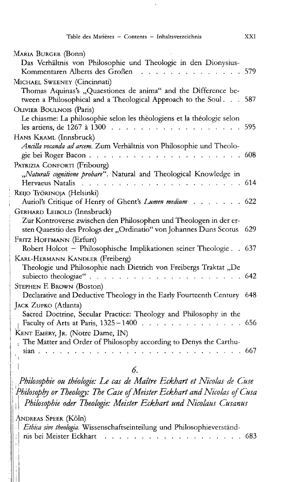| MARIA BURGER (BONN)                                                                                                                      |      |
|------------------------------------------------------------------------------------------------------------------------------------------|------|
| Das Verhältnis von Philosophie und Theologie in den Dionysius-                                                                           |      |
| Kommentaren Alberts des Großen                                                                                                           | 579  |
| MICHAEL SWEENEY (Cincinnati)                                                                                                             |      |
| Thomas Aquinas's "Quaestiones de anima" and the Difference be-<br>tween a Philosophical and a Theological Approach to the Soul. 587      |      |
| OLIVIER BOULNOIS (Paris)                                                                                                                 |      |
| Le chiasme: La philosophie selon les théologiens et la théologie selon<br>les artiens, de 1267 à 1300                                    | 595  |
| HANS KRAML (Innsbruck)                                                                                                                   |      |
| Ancilla vocanda ad arcem. Zum Verhältnis von Philosophie und Theolo-<br>gie bei Roger Bacon.<br>and the contract of<br><b>Contractor</b> | 608  |
| PATRIZIA CONFORTI (Fribourg)                                                                                                             |      |
| "Naturali cognitione probare". Natural and Theological Knowledge in                                                                      |      |
| Hervaeus Natalis<br>$\mathbf{r}$ , and $\mathbf{r}$ , and $\mathbf{r}$ , and $\mathbf{r}$                                                | -614 |
| Reijo Työrinoja (Helsinki)                                                                                                               |      |
| Auriol's Critique of Henry of Ghent's Lumen medium                                                                                       | 622  |
| GERHARD LEIBOLD (Innsbruck)                                                                                                              |      |
| Zur Kontroverse zwischen den Philosophen und Theologen in der er-                                                                        |      |
| sten Quaestio des Prologs der "Ordinatio" von Johannes Duns Scotus                                                                       | 629  |
| FRITZ HOFFMANN (Erfurt)                                                                                                                  |      |
| Robert Holcot - Philosophische Implikationen seiner Theologie. . 637                                                                     |      |
| KARL-HERMANN KANDLER (Freiberg)                                                                                                          |      |
| Theologie und Philosophie nach Dietrich von Freibergs Traktat "De                                                                        |      |
| subiecto theologiae".<br>$\mathbf{1}$ , $\mathbf{1}$ , $\mathbf{1}$                                                                      | 642  |
| STEPHEN F. BROWN (Boston)                                                                                                                |      |
| Declarative and Deductive Theology in the Early Fourteenth Century 648                                                                   |      |
| JACK ZUPKO (Atlanta)                                                                                                                     |      |
| Sacred Doctrine, Secular Practice: Theology and Philosophy in the                                                                        |      |
| Faculty of Arts at Paris, 1325-1400<br>.                                                                                                 | 656  |
| KENT EMERY, JR. (Notre Dame, IN)                                                                                                         |      |
| The Matter and Order of Philosophy according to Denys the Carthu-<br>sian.                                                               | 667  |
|                                                                                                                                          |      |

Philosophie ou théologie: Le cas de Maître Eckhart et Nicolas de Cuse Philosophy or Theology: The Case of Meister Eckhart and Nicolas of Cusa | Philosophie oder Theologie: Meister Eckhart und Nicolaus Cusanus

### ANDREAS SPEER (Köln)

| <i>Ethica sive theologia</i> . Wissenschaftseinteilung und Philosophieverständ-                                         |  |
|-------------------------------------------------------------------------------------------------------------------------|--|
| nis bei Meister Eckhart (Charles Contains and Charles Contains and Charles Contains and Meister Charles Contain<br>-683 |  |

XXI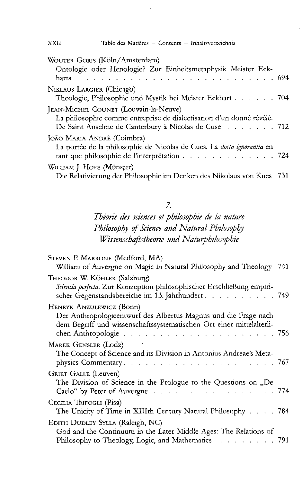| WOUTER GORIS (Köln/Amsterdam)                                                 |      |
|-------------------------------------------------------------------------------|------|
| Ontologie oder Henologie? Zur Einheitsmetaphysik Meister Eck-                 |      |
| harts                                                                         |      |
| NIKLAUS LARGIER (Chicago)                                                     |      |
| Theologie, Philosophie und Mystik bei Meister Eckhart 704                     |      |
| JEAN-MICHEL COUNET (Louvain-la-Neuve)                                         |      |
| La philosophie comme entreprise de dialectisation d'un donné révélé.          |      |
| De Saint Anselme de Canterbury à Nicolas de Cuse 712                          |      |
| JOÃO MARIA ANDRÉ (Coimbra)                                                    |      |
| La portée de la philosophie de Nicolas de Cues. La <i>docta ignorantia</i> en |      |
| tant que philosophie de l'interprétation 724                                  |      |
| WILLIAM J. HOYE (Münster)                                                     |      |
| Die Relativierung der Philosophie im Denken des Nikolaus von Kues             | -731 |
|                                                                               |      |

*Theorie des sciences et philosophie de la nature Philosophy of Säence and Natural Philosophy Wissenschaftstheorie und Naturphilosophie*

| STEVEN P. MARRONE (Medford, MA)<br>William of Auvergne on Magic in Natural Philosophy and Theology 741                                                              |  |
|---------------------------------------------------------------------------------------------------------------------------------------------------------------------|--|
| THEODOR W. KÖHLER (Salzburg)<br>Scientia perfecta. Zur Konzeption philosophischer Erschließung empiri-<br>scher Gegenstandsbereiche im 13. Jahrhundert 749          |  |
| HENRYK ANZULEWICZ (Bonn)<br>Der Anthropologieentwurf des Albertus Magnus und die Frage nach<br>dem Begriff und wissenschaftssystematischen Ort einer mittelalterli- |  |
| MAREK GENSLER (Lodz)<br>The Concept of Science and its Division in Antonius Andreae's Meta-                                                                         |  |
| GRIET GALLE (Leuven)<br>The Division of Science in the Prologue to the Questions on "De<br>Caelo" by Peter of Auvergne 774                                          |  |
| CECILIA TRIFOGLI (Pisa)<br>The Unicity of Time in XIIIth Century Natural Philosophy 784                                                                             |  |
| EDITH DUDLEY SYLLA (Raleigh, NC)<br>God and the Continuum in the Later Middle Ages: The Relations of<br>Philosophy to Theology, Logic, and Mathematics 791          |  |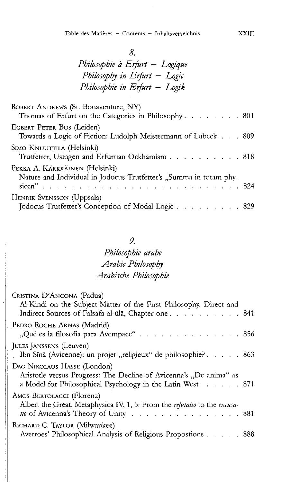# *Philosophie ä Erfurt — Logique Philosophy in Erfurt — Logic Philosophie in Erfurt* — *Logik*

| ROBERT ANDREWS (St. Bonaventure, NY)<br>Thomas of Erfurt on the Categories in Philosophy 801         |  |
|------------------------------------------------------------------------------------------------------|--|
| EGBERT PETER BOS (Leiden)<br>Towards a Logic of Fiction: Ludolph Meistermann of Lübeck 809           |  |
| Simo Knuuttila (Helsinki)<br>Trutfetter, Usingen and Erfurtian Ockhamism 818                         |  |
| PEKKA A. KÄRKKÄINEN (Helsinki)<br>Nature and Individual in Jodocus Trutfetter's "Summa in totam phy- |  |
| HENRIK SVENSSON (Uppsala)<br>Jodocus Trutfetter's Conception of Modal Logic 829                      |  |

#### *9.*

# *Philosophie arabe Arabic Philosophy Arabische Philosophie*

| Cristina D'Ancona (Padua)<br>Al-Kindi on the Subject-Matter of the First Philosophy. Direct and<br>Indirect Sources of Falsafa al-ūlā, Chapter one 841          |  |
|-----------------------------------------------------------------------------------------------------------------------------------------------------------------|--|
| PEDRO ROCHE ARNAS (Madrid)<br>"Qué es la filosofía para Avempace" 856                                                                                           |  |
| JULES JANSSENS (Leuven)<br>Ibn Sīnā (Avicenne): un projet "religieux" de philosophie? 863                                                                       |  |
| DAG NIKOLAUS HASSE (London)<br>Aristotle versus Progress: The Decline of Avicenna's "De anima" as<br>a Model for Philosophical Psychology in the Latin West 871 |  |
| AMOS BERTOLACCI (Florenz)<br>Albert the Great, Metaphysica IV, 1, 5: From the refutatio to the excusa-<br>tio of Avicenna's Theory of Unity 881                 |  |
| RICHARD C. TAYLOR (Milwaukee)<br>Averroes' Philosophical Analysis of Religious Propostions 888                                                                  |  |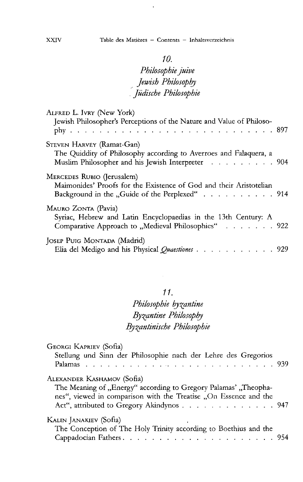$\ddot{\phantom{0}}$ 

### *10.*

# *Philosophie juive Jewish Philosophy . jüdische Philosophie*

| ALFRED L. IVRY (New York)<br>Jewish Philosopher's Perceptions of the Nature and Value of Philoso-                                                   |  |
|-----------------------------------------------------------------------------------------------------------------------------------------------------|--|
| STEVEN HARVEY (Ramat-Gan)<br>The Quiddity of Philosophy according to Averroes and Falaquera, a<br>Muslim Philosopher and his Jewish Interpreter 904 |  |
| MERCEDES RUBIO (Jerusalem)<br>Maimonides' Proofs for the Existence of God and their Aristotelian<br>Background in the "Guide of the Perplexed" 914  |  |
| MAURO ZONTA (Pavia)<br>Syriac, Hebrew and Latin Encyclopaedias in the 13th Century: A<br>Comparative Approach to "Medieval Philosophies" 922        |  |
| JOSEP PUIG MONTADA (Madrid)<br>Elia del Medigo and his Physical Quaestiones 929                                                                     |  |

#### *11.*

# *Philosophie by^antine By^antine Philosophy Byzantinische Philosophie*

| GEORGI KAPRIEV (Sofia)<br>Stellung und Sinn der Philosophie nach der Lehre des Gregorios |  |
|------------------------------------------------------------------------------------------|--|
| ALEXANDER KASHAMOV (Sofia)                                                               |  |
| The Meaning of "Energy" according to Gregory Palamas' "Theopha-                          |  |
| nes", viewed in comparison with the Treatise "On Essence and the                         |  |
| Act", attributed to Gregory Akindynos 947                                                |  |
| KALIN JANAKIEV (Sofia)<br>$\mathbf{r}$                                                   |  |
| The Conception of The Holy Trinity according to Boethius and the                         |  |
|                                                                                          |  |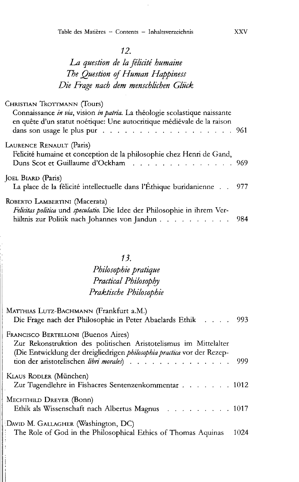# *La question de la felicite humaine The Question of Human Happiness Die Frage nach dem menschlichen Glück*

| Christian Trottmann (Tours)                                                                                                                                    |  |
|----------------------------------------------------------------------------------------------------------------------------------------------------------------|--|
| Connaissance in via, vision in patria. La théologie scolastique naissante<br>en quête d'un statut noétique: Une autocritique médiévale de la raison            |  |
| LAURENCE RENAULT (Paris)<br>Felicité humaine et conception de la philosophie chez Henri de Gand,<br>Duns Scot et Guillaume d'Ockham 969                        |  |
| JOEL BIARD (Paris)<br>La place de la félicité intellectuelle dans l'Éthique buridanienne 977                                                                   |  |
| ROBERTO LAMBERTINI (Macerata)<br>Felicitas politica und speculatio. Die Idee der Philosophie in ihrem Ver-<br>hältnis zur Politik nach Johannes von Jandun 984 |  |

# *13.*

# *Philosophie pratique Practical Philosophy Praktische Philosophie*

| MATTHIAS LUTZ-BACHMANN (Frankfurt a.M.)<br>Die Frage nach der Philosophie in Peter Abaelards Ethik 993                                                                             |      |
|------------------------------------------------------------------------------------------------------------------------------------------------------------------------------------|------|
| FRANCISCO BERTELLONI (Buenos Aires)<br>Zur Rekonstruktion des politischen Aristotelismus im Mittelalter<br>(Die Entwicklung der dreigliedrigen philosophia practica vor der Rezep- |      |
| KLAUS RODLER (München)<br>Zur Tugendlehre in Fishacres Sentenzenkommentar 1012                                                                                                     |      |
| MECHTHILD DREYER (Bonn)<br>Ethik als Wissenschaft nach Albertus Magnus 1017                                                                                                        |      |
| DAVID M. GALLAGHER (Washington, DC)<br>The Role of God in the Philosophical Ethics of Thomas Aquinas                                                                               | 1024 |